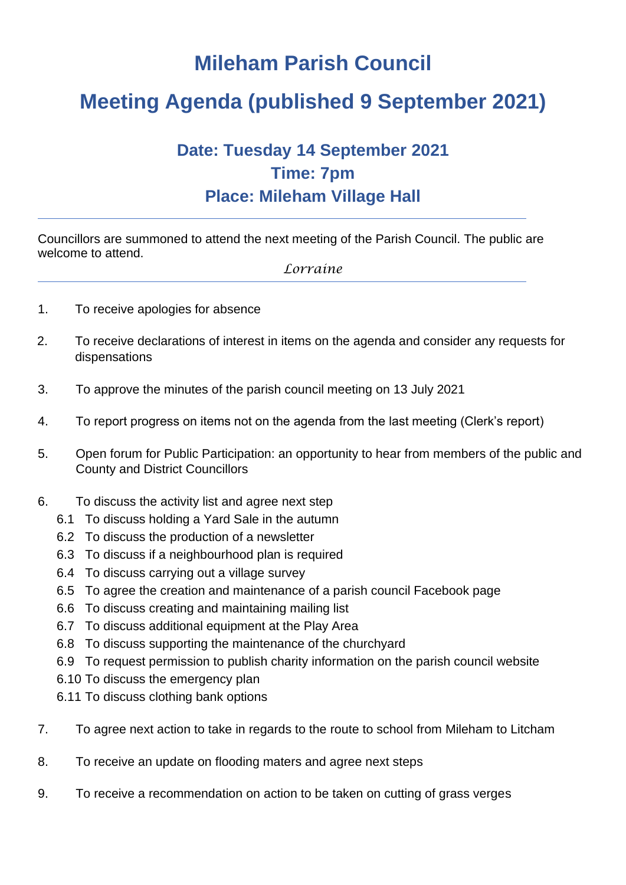## **Mileham Parish Council**

## **Meeting Agenda (published 9 September 2021)**

## **Date: Tuesday 14 September 2021 Time: 7pm Place: Mileham Village Hall**

Councillors are summoned to attend the next meeting of the Parish Council. The public are welcome to attend.

*Lorraine*

- 1. To receive apologies for absence
- 2. To receive declarations of interest in items on the agenda and consider any requests for dispensations
- 3. To approve the minutes of the parish council meeting on 13 July 2021
- 4. To report progress on items not on the agenda from the last meeting (Clerk's report)
- 5. Open forum for Public Participation: an opportunity to hear from members of the public and County and District Councillors
- 6. To discuss the activity list and agree next step
	- 6.1 To discuss holding a Yard Sale in the autumn
	- 6.2 To discuss the production of a newsletter
	- 6.3 To discuss if a neighbourhood plan is required
	- 6.4 To discuss carrying out a village survey
	- 6.5 To agree the creation and maintenance of a parish council Facebook page
	- 6.6 To discuss creating and maintaining mailing list
	- 6.7 To discuss additional equipment at the Play Area
	- 6.8 To discuss supporting the maintenance of the churchyard
	- 6.9 To request permission to publish charity information on the parish council website
	- 6.10 To discuss the emergency plan
	- 6.11 To discuss clothing bank options
- 7. To agree next action to take in regards to the route to school from Mileham to Litcham
- 8. To receive an update on flooding maters and agree next steps
- 9. To receive a recommendation on action to be taken on cutting of grass verges